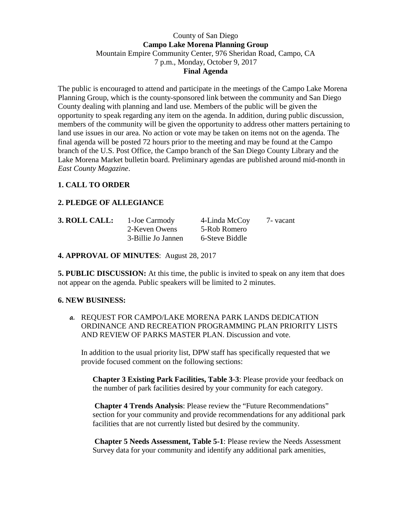## County of San Diego **Campo Lake Morena Planning Group**  Mountain Empire Community Center, 976 Sheridan Road, Campo, CA 7 p.m., Monday, October 9, 2017 **Final Agenda**

The public is encouraged to attend and participate in the meetings of the Campo Lake Morena Planning Group, which is the county-sponsored link between the community and San Diego County dealing with planning and land use. Members of the public will be given the opportunity to speak regarding any item on the agenda. In addition, during public discussion, members of the community will be given the opportunity to address other matters pertaining to land use issues in our area. No action or vote may be taken on items not on the agenda. The final agenda will be posted 72 hours prior to the meeting and may be found at the Campo branch of the U.S. Post Office, the Campo branch of the San Diego County Library and the Lake Morena Market bulletin board. Preliminary agendas are published around mid-month in *East County Magazine*.

## **1. CALL TO ORDER**

## **2. PLEDGE OF ALLEGIANCE**

| 3. ROLL CALL: | 1-Joe Carmody      | 4-Linda McCoy  | 7 - vacant |
|---------------|--------------------|----------------|------------|
|               | 2-Keven Owens      | 5-Rob Romero   |            |
|               | 3-Billie Jo Jannen | 6-Steve Biddle |            |

**4. APPROVAL OF MINUTES**: August 28, 2017

**5. PUBLIC DISCUSSION:** At this time, the public is invited to speak on any item that does not appear on the agenda. Public speakers will be limited to 2 minutes.

## **6. NEW BUSINESS:**

**a.** REQUEST FOR CAMPO/LAKE MORENA PARK LANDS DEDICATION ORDINANCE AND RECREATION PROGRAMMING PLAN PRIORITY LISTS AND REVIEW OF PARKS MASTER PLAN. Discussion and vote.

In addition to the usual priority list, DPW staff has specifically requested that we provide focused comment on the following sections:

**Chapter 3 Existing Park Facilities, Table 3-3**: Please provide your feedback on the number of park facilities desired by your community for each category.

**Chapter 4 Trends Analysis**: Please review the "Future Recommendations" section for your community and provide recommendations for any additional park facilities that are not currently listed but desired by the community.

**Chapter 5 Needs Assessment, Table 5-1**: Please review the Needs Assessment Survey data for your community and identify any additional park amenities,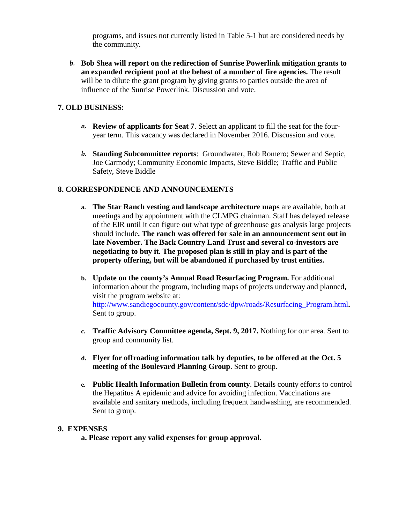programs, and issues not currently listed in Table 5-1 but are considered needs by the community.

**b. Bob Shea will report on the redirection of Sunrise Powerlink mitigation grants to an expanded recipient pool at the behest of a number of fire agencies.** The result will be to dilute the grant program by giving grants to parties outside the area of influence of the Sunrise Powerlink. Discussion and vote.

# **7. OLD BUSINESS:**

- **a. Review of applicants for Seat 7**. Select an applicant to fill the seat for the fouryear term. This vacancy was declared in November 2016. Discussion and vote.
- **b. Standing Subcommittee reports**: Groundwater, Rob Romero; Sewer and Septic, Joe Carmody; Community Economic Impacts, Steve Biddle; Traffic and Public Safety, Steve Biddle

## **8. CORRESPONDENCE AND ANNOUNCEMENTS**

- **a. The Star Ranch vesting and landscape architecture maps** are available, both at meetings and by appointment with the CLMPG chairman. Staff has delayed release of the EIR until it can figure out what type of greenhouse gas analysis large projects should include**. The ranch was offered for sale in an announcement sent out in late November. The Back Country Land Trust and several co-investors are negotiating to buy it. The proposed plan is still in play and is part of the property offering, but will be abandoned if purchased by trust entities.**
- **b. Update on the county's Annual Road Resurfacing Program.** For additional information about the program, including maps of projects underway and planned, visit the program website at: http://www.sandiegocounty.gov/content/sdc/dpw/roads/Resurfacing\_Program.html**.**  Sent to group.
- **c. Traffic Advisory Committee agenda, Sept. 9, 2017.** Nothing for our area. Sent to group and community list.
- **d. Flyer for offroading information talk by deputies, to be offered at the Oct. 5 meeting of the Boulevard Planning Group**. Sent to group.
- **e. Public Health Information Bulletin from county**. Details county efforts to control the Hepatitus A epidemic and advice for avoiding infection. Vaccinations are available and sanitary methods, including frequent handwashing, are recommended. Sent to group.

#### **9. EXPENSES**

**a. Please report any valid expenses for group approval.**